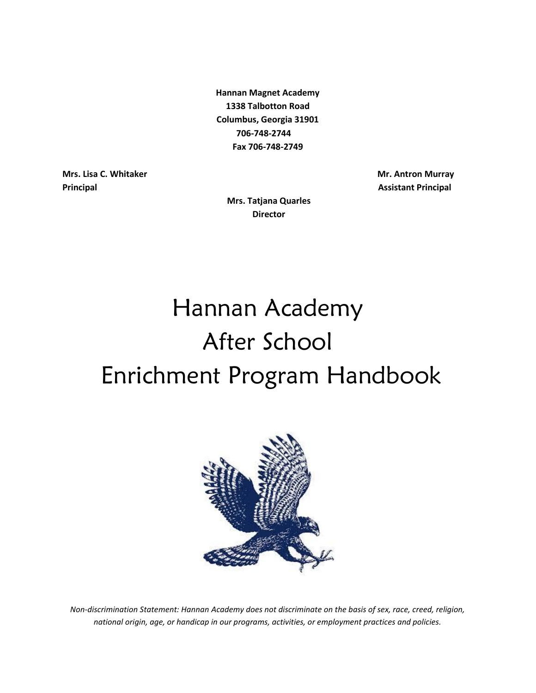**Hannan Magnet Academy 1338 Talbotton Road Columbus, Georgia 31901 706-748-2744 Fax 706-748-2749** 

**Director**

**Mrs. Lisa C. Whitaker Community Community Community Community Community Community Community Community Community Community Community Community Community Community Community Community Community Community Community Community Principal Assistant Principal Assistant Principal Assistant Principal Assistant Principal Assistant Principal** 

**Mrs. Tatjana Quarles**

# Hannan Academy After School Enrichment Program Handbook



*Non-discrimination Statement: Hannan Academy does not discriminate on the basis of sex, race, creed, religion, national origin, age, or handicap in our programs, activities, or employment practices and policies.*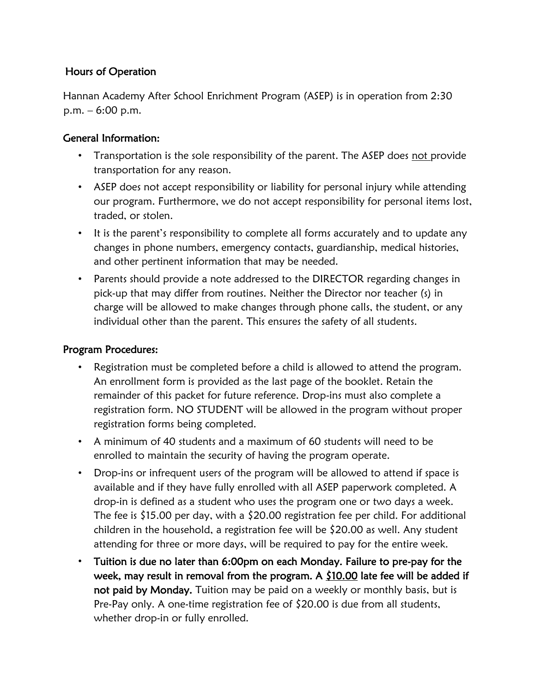## Hours of Operation

Hannan Academy After School Enrichment Program (ASEP) is in operation from 2:30 p.m. – 6:00 p.m.

## General Information:

- Transportation is the sole responsibility of the parent. The ASEP does not provide transportation for any reason.
- ASEP does not accept responsibility or liability for personal injury while attending our program. Furthermore, we do not accept responsibility for personal items lost, traded, or stolen.
- It is the parent's responsibility to complete all forms accurately and to update any changes in phone numbers, emergency contacts, guardianship, medical histories, and other pertinent information that may be needed.
- Parents should provide a note addressed to the DIRECTOR regarding changes in pick-up that may differ from routines. Neither the Director nor teacher (s) in charge will be allowed to make changes through phone calls, the student, or any individual other than the parent. This ensures the safety of all students.

### Program Procedures:

- Registration must be completed before a child is allowed to attend the program. An enrollment form is provided as the last page of the booklet. Retain the remainder of this packet for future reference. Drop-ins must also complete a registration form. NO STUDENT will be allowed in the program without proper registration forms being completed.
- A minimum of 40 students and a maximum of 60 students will need to be enrolled to maintain the security of having the program operate.
- Drop-ins or infrequent users of the program will be allowed to attend if space is available and if they have fully enrolled with all ASEP paperwork completed. A drop-in is defined as a student who uses the program one or two days a week. The fee is \$15.00 per day, with a \$20.00 registration fee per child. For additional children in the household, a registration fee will be \$20.00 as well. Any student attending for three or more days, will be required to pay for the entire week.
- Tuition is due no later than 6:00pm on each Monday. Failure to pre-pay for the week, may result in removal from the program. A  $$10.00$  late fee will be added if not paid by Monday. Tuition may be paid on a weekly or monthly basis, but is Pre-Pay only. A one-time registration fee of \$20.00 is due from all students, whether drop-in or fully enrolled.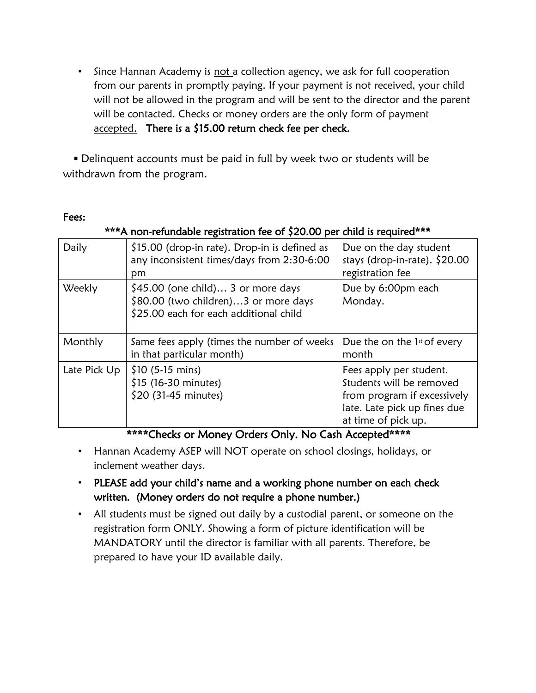• Since Hannan Academy is not a collection agency, we ask for full cooperation from our parents in promptly paying. If your payment is not received, your child will not be allowed in the program and will be sent to the director and the parent will be contacted. Checks or money orders are the only form of payment accepted. There is a \$15.00 return check fee per check.

 Delinquent accounts must be paid in full by week two or students will be withdrawn from the program.

#### Fees:

#### \*\*\*A non-refundable registration fee of \$20.00 per child is required\*\*\*

| Daily        | \$15.00 (drop-in rate). Drop-in is defined as<br>any inconsistent times/days from 2:30-6:00<br>pm                     | Due on the day student<br>stays (drop-in-rate). \$20.00<br>registration fee                                                               |
|--------------|-----------------------------------------------------------------------------------------------------------------------|-------------------------------------------------------------------------------------------------------------------------------------------|
| Weekly       | $$45.00$ (one child) 3 or more days<br>\$80.00 (two children)3 or more days<br>\$25.00 each for each additional child | Due by 6:00pm each<br>Monday.                                                                                                             |
| Monthly      | Same fees apply (times the number of weeks<br>in that particular month)                                               | Due the on the $1st$ of every<br>month                                                                                                    |
| Late Pick Up | $$10 (5-15 mins)$<br>\$15 (16-30 minutes)<br>\$20 (31-45 minutes)                                                     | Fees apply per student.<br>Students will be removed<br>from program if excessively<br>late. Late pick up fines due<br>at time of pick up. |

\*\*\*\*Checks or Money Orders Only. No Cash Accepted\*\*\*\*

- Hannan Academy ASEP will NOT operate on school closings, holidays, or inclement weather days.
- PLEASE add your child's name and a working phone number on each check written. (Money orders do not require a phone number.)
- All students must be signed out daily by a custodial parent, or someone on the registration form ONLY. Showing a form of picture identification will be MANDATORY until the director is familiar with all parents. Therefore, be prepared to have your ID available daily.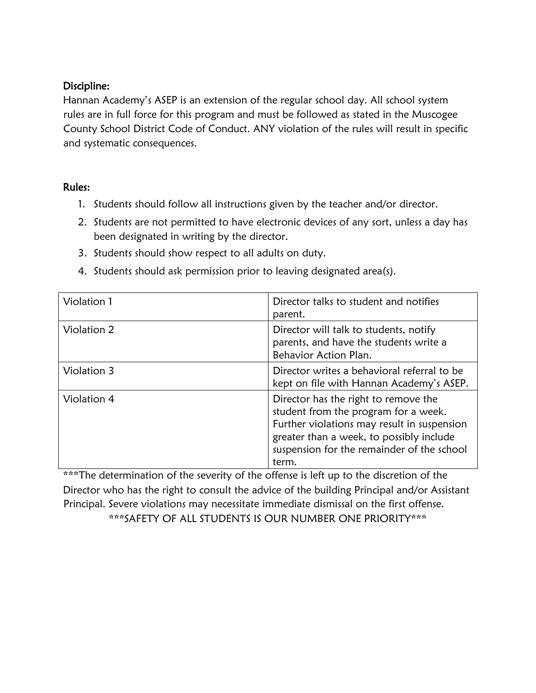## Discipline:

Hannan Academy's ASEP is an extension of the regular school day. All school system rules are in full force for this program and must be followed as stated in the Muscogee County School District Code of Conduct. ANY violation of the rules will result in specific and systematic consequences.

## Rules:

- 1. Students should follow all instructions given by the teacher and/or director.
- 2. Students are not permitted to have electronic devices of any sort, unless a day has been designated in writing by the director.
- 3. Students should show respect to all adults on duty.
- 4. Students should ask permission prior to leaving designated area(s).

| Violation 1 | Director talks to student and notifies<br>parent.                                                                                                                                                                              |
|-------------|--------------------------------------------------------------------------------------------------------------------------------------------------------------------------------------------------------------------------------|
| Violation 2 | Director will talk to students, notify<br>parents, and have the students write a<br>Behavior Action Plan.                                                                                                                      |
| Violation 3 | Director writes a behavioral referral to be<br>kept on file with Hannan Academy's ASEP.                                                                                                                                        |
| Violation 4 | Director has the right to remove the<br>student from the program for a week.<br>Further violations may result in suspension<br>greater than a week, to possibly include<br>suspension for the remainder of the school<br>term. |

\*\*\*The determination of the severity of the offense is left up to the discretion of the Director who has the right to consult the advice of the building Principal and/or Assistant Principal. Severe violations may necessitate immediate dismissal on the first offense. \*\*\*SAFETY OF ALL STUDENTS IS OUR NUMBER ONE PRIORITY\*\*\*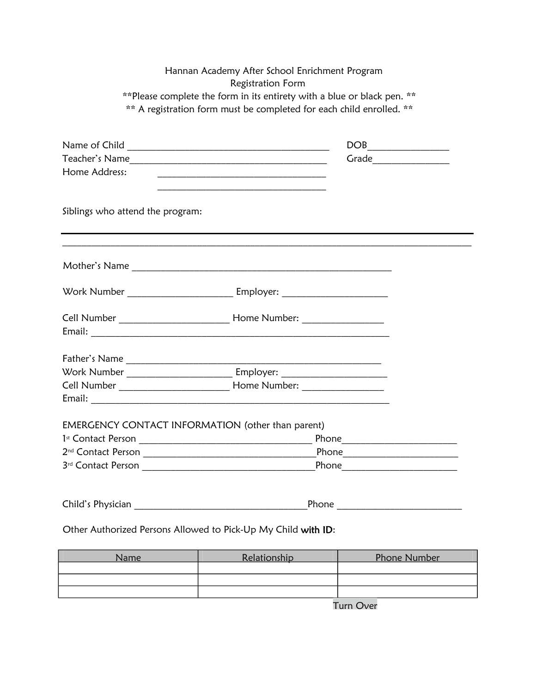| Hannan Academy After School Enrichment Program<br><b>Registration Form</b><br>** Please complete the form in its entirety with a blue or black pen. ** |                                                                    |  |  |  |                                                                      |
|--------------------------------------------------------------------------------------------------------------------------------------------------------|--------------------------------------------------------------------|--|--|--|----------------------------------------------------------------------|
|                                                                                                                                                        |                                                                    |  |  |  | ** A registration form must be completed for each child enrolled. ** |
|                                                                                                                                                        |                                                                    |  |  |  |                                                                      |
|                                                                                                                                                        | $DOB$                                                              |  |  |  |                                                                      |
|                                                                                                                                                        |                                                                    |  |  |  |                                                                      |
| Home Address:                                                                                                                                          | <u> 1989 - Johann Barbara, margaret eta biztanleria (h. 1989).</u> |  |  |  |                                                                      |
|                                                                                                                                                        |                                                                    |  |  |  |                                                                      |
| Siblings who attend the program:                                                                                                                       |                                                                    |  |  |  |                                                                      |
|                                                                                                                                                        |                                                                    |  |  |  |                                                                      |
|                                                                                                                                                        |                                                                    |  |  |  |                                                                      |
|                                                                                                                                                        |                                                                    |  |  |  |                                                                      |
|                                                                                                                                                        |                                                                    |  |  |  |                                                                      |
|                                                                                                                                                        |                                                                    |  |  |  |                                                                      |
|                                                                                                                                                        |                                                                    |  |  |  |                                                                      |
|                                                                                                                                                        |                                                                    |  |  |  |                                                                      |
|                                                                                                                                                        |                                                                    |  |  |  |                                                                      |
|                                                                                                                                                        |                                                                    |  |  |  |                                                                      |
| EMERGENCY CONTACT INFORMATION (other than parent)                                                                                                      |                                                                    |  |  |  |                                                                      |
|                                                                                                                                                        |                                                                    |  |  |  |                                                                      |
| 2 <sup>nd</sup> Contact Person                                                                                                                         | Phone                                                              |  |  |  |                                                                      |
|                                                                                                                                                        |                                                                    |  |  |  |                                                                      |
|                                                                                                                                                        |                                                                    |  |  |  |                                                                      |
| Other Authorized Persons Allowed to Pick-Up My Child with ID:                                                                                          |                                                                    |  |  |  |                                                                      |

| Name | Relationship | Phone Number |
|------|--------------|--------------|
|      |              |              |
|      |              |              |
|      |              |              |
|      |              |              |

Turn Over